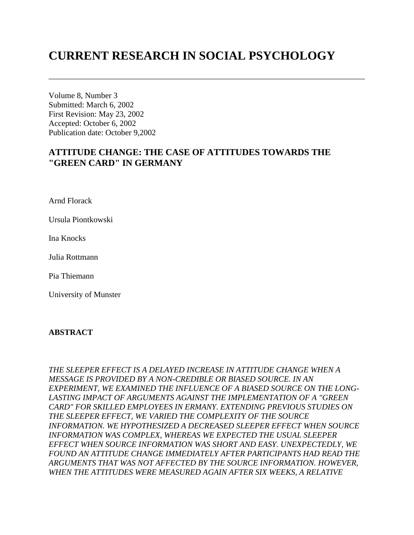# **CURRENT RESEARCH IN SOCIAL PSYCHOLOGY**

Volume 8, Number 3 Submitted: March 6, 2002 First Revision: May 23, 2002 Accepted: October 6, 2002 Publication date: October 9,2002

# **ATTITUDE CHANGE: THE CASE OF ATTITUDES TOWARDS THE "GREEN CARD" IN GERMANY**

Arnd Florack

Ursula Piontkowski

Ina Knocks

Julia Rottmann

Pia Thiemann

University of Munster

#### **ABSTRACT**

*THE SLEEPER EFFECT IS A DELAYED INCREASE IN ATTITUDE CHANGE WHEN A MESSAGE IS PROVIDED BY A NON-CREDIBLE OR BIASED SOURCE. IN AN EXPERIMENT, WE EXAMINED THE INFLUENCE OF A BIASED SOURCE ON THE LONG-LASTING IMPACT OF ARGUMENTS AGAINST THE IMPLEMENTATION OF A "GREEN CARD" FOR SKILLED EMPLOYEES IN ERMANY. EXTENDING PREVIOUS STUDIES ON THE SLEEPER EFFECT, WE VARIED THE COMPLEXITY OF THE SOURCE INFORMATION. WE HYPOTHESIZED A DECREASED SLEEPER EFFECT WHEN SOURCE INFORMATION WAS COMPLEX, WHEREAS WE EXPECTED THE USUAL SLEEPER EFFECT WHEN SOURCE INFORMATION WAS SHORT AND EASY. UNEXPECTEDLY, WE FOUND AN ATTITUDE CHANGE IMMEDIATELY AFTER PARTICIPANTS HAD READ THE ARGUMENTS THAT WAS NOT AFFECTED BY THE SOURCE INFORMATION. HOWEVER, WHEN THE ATTITUDES WERE MEASURED AGAIN AFTER SIX WEEKS, A RELATIVE*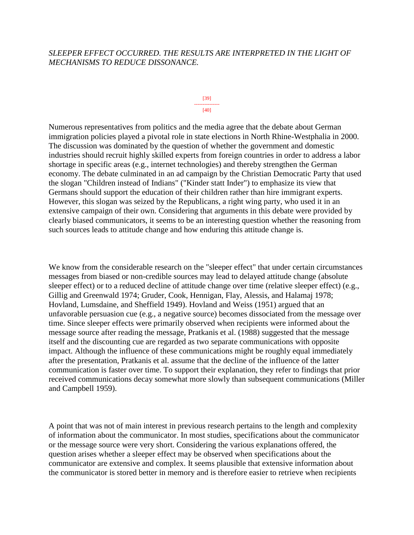# *SLEEPER EFFECT OCCURRED. THE RESULTS ARE INTERPRETED IN THE LIGHT OF MECHANISMS TO REDUCE DISSONANCE.*

#### [39] --------------- [40]

Numerous representatives from politics and the media agree that the debate about German immigration policies played a pivotal role in state elections in North Rhine-Westphalia in 2000. The discussion was dominated by the question of whether the government and domestic industries should recruit highly skilled experts from foreign countries in order to address a labor shortage in specific areas (e.g., internet technologies) and thereby strengthen the German economy. The debate culminated in an ad campaign by the Christian Democratic Party that used the slogan "Children instead of Indians" ("Kinder statt Inder") to emphasize its view that Germans should support the education of their children rather than hire immigrant experts. However, this slogan was seized by the Republicans, a right wing party, who used it in an extensive campaign of their own. Considering that arguments in this debate were provided by clearly biased communicators, it seems to be an interesting question whether the reasoning from such sources leads to attitude change and how enduring this attitude change is.

We know from the considerable research on the "sleeper effect" that under certain circumstances messages from biased or non-credible sources may lead to delayed attitude change (absolute sleeper effect) or to a reduced decline of attitude change over time (relative sleeper effect) (e.g., Gillig and Greenwald 1974; Gruder, Cook, Hennigan, Flay, Alessis, and Halamaj 1978; Hovland, Lumsdaine, and Sheffield 1949). Hovland and Weiss (1951) argued that an unfavorable persuasion cue (e.g., a negative source) becomes dissociated from the message over time. Since sleeper effects were primarily observed when recipients were informed about the message source after reading the message, Pratkanis et al. (1988) suggested that the message itself and the discounting cue are regarded as two separate communications with opposite impact. Although the influence of these communications might be roughly equal immediately after the presentation, Pratkanis et al. assume that the decline of the influence of the latter communication is faster over time. To support their explanation, they refer to findings that prior received communications decay somewhat more slowly than subsequent communications (Miller and Campbell 1959).

A point that was not of main interest in previous research pertains to the length and complexity of information about the communicator. In most studies, specifications about the communicator or the message source were very short. Considering the various explanations offered, the question arises whether a sleeper effect may be observed when specifications about the communicator are extensive and complex. It seems plausible that extensive information about the communicator is stored better in memory and is therefore easier to retrieve when recipients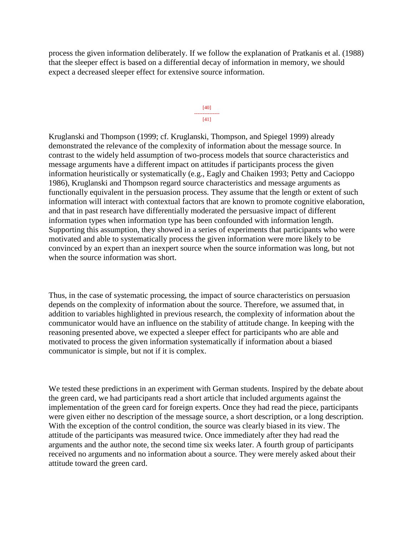process the given information deliberately. If we follow the explanation of Pratkanis et al. (1988) that the sleeper effect is based on a differential decay of information in memory, we should expect a decreased sleeper effect for extensive source information.

#### [40] --------------- [41]

Kruglanski and Thompson (1999; cf. Kruglanski, Thompson, and Spiegel 1999) already demonstrated the relevance of the complexity of information about the message source. In contrast to the widely held assumption of two-process models that source characteristics and message arguments have a different impact on attitudes if participants process the given information heuristically or systematically (e.g., Eagly and Chaiken 1993; Petty and Cacioppo 1986), Kruglanski and Thompson regard source characteristics and message arguments as functionally equivalent in the persuasion process. They assume that the length or extent of such information will interact with contextual factors that are known to promote cognitive elaboration, and that in past research have differentially moderated the persuasive impact of different information types when information type has been confounded with information length. Supporting this assumption, they showed in a series of experiments that participants who were motivated and able to systematically process the given information were more likely to be convinced by an expert than an inexpert source when the source information was long, but not when the source information was short.

Thus, in the case of systematic processing, the impact of source characteristics on persuasion depends on the complexity of information about the source. Therefore, we assumed that, in addition to variables highlighted in previous research, the complexity of information about the communicator would have an influence on the stability of attitude change. In keeping with the reasoning presented above, we expected a sleeper effect for participants who are able and motivated to process the given information systematically if information about a biased communicator is simple, but not if it is complex.

We tested these predictions in an experiment with German students. Inspired by the debate about the green card, we had participants read a short article that included arguments against the implementation of the green card for foreign experts. Once they had read the piece, participants were given either no description of the message source, a short description, or a long description. With the exception of the control condition, the source was clearly biased in its view. The attitude of the participants was measured twice. Once immediately after they had read the arguments and the author note, the second time six weeks later. A fourth group of participants received no arguments and no information about a source. They were merely asked about their attitude toward the green card.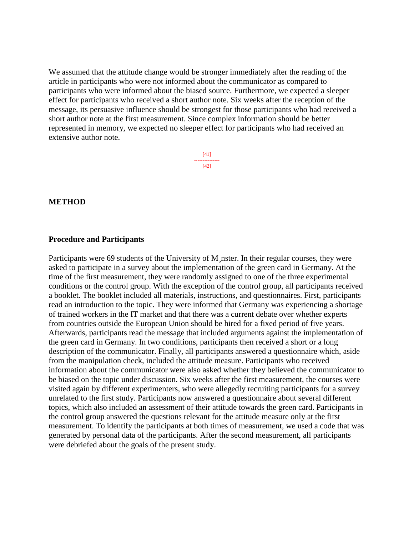We assumed that the attitude change would be stronger immediately after the reading of the article in participants who were not informed about the communicator as compared to participants who were informed about the biased source. Furthermore, we expected a sleeper effect for participants who received a short author note. Six weeks after the reception of the message, its persuasive influence should be strongest for those participants who had received a short author note at the first measurement. Since complex information should be better represented in memory, we expected no sleeper effect for participants who had received an extensive author note.

> [41] --------------- [42]

#### **METHOD**

#### **Procedure and Participants**

Participants were 69 students of the University of M¸nster. In their regular courses, they were asked to participate in a survey about the implementation of the green card in Germany. At the time of the first measurement, they were randomly assigned to one of the three experimental conditions or the control group. With the exception of the control group, all participants received a booklet. The booklet included all materials, instructions, and questionnaires. First, participants read an introduction to the topic. They were informed that Germany was experiencing a shortage of trained workers in the IT market and that there was a current debate over whether experts from countries outside the European Union should be hired for a fixed period of five years. Afterwards, participants read the message that included arguments against the implementation of the green card in Germany. In two conditions, participants then received a short or a long description of the communicator. Finally, all participants answered a questionnaire which, aside from the manipulation check, included the attitude measure. Participants who received information about the communicator were also asked whether they believed the communicator to be biased on the topic under discussion. Six weeks after the first measurement, the courses were visited again by different experimenters, who were allegedly recruiting participants for a survey unrelated to the first study. Participants now answered a questionnaire about several different topics, which also included an assessment of their attitude towards the green card. Participants in the control group answered the questions relevant for the attitude measure only at the first measurement. To identify the participants at both times of measurement, we used a code that was generated by personal data of the participants. After the second measurement, all participants were debriefed about the goals of the present study.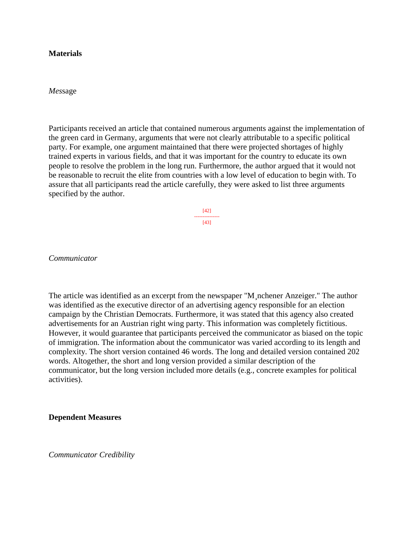#### **Materials**

*Mes*sage

Participants received an article that contained numerous arguments against the implementation of the green card in Germany, arguments that were not clearly attributable to a specific political party. For example, one argument maintained that there were projected shortages of highly trained experts in various fields, and that it was important for the country to educate its own people to resolve the problem in the long run. Furthermore, the author argued that it would not be reasonable to recruit the elite from countries with a low level of education to begin with. To assure that all participants read the article carefully, they were asked to list three arguments specified by the author.

> [42] --------------- [43]

*Communicator*

The article was identified as an excerpt from the newspaper "M¸nchener Anzeiger." The author was identified as the executive director of an advertising agency responsible for an election campaign by the Christian Democrats. Furthermore, it was stated that this agency also created advertisements for an Austrian right wing party. This information was completely fictitious. However, it would guarantee that participants perceived the communicator as biased on the topic of immigration. The information about the communicator was varied according to its length and complexity. The short version contained 46 words. The long and detailed version contained 202 words. Altogether, the short and long version provided a similar description of the communicator, but the long version included more details (e.g., concrete examples for political activities).

**Dependent Measures** 

*Communicator Credibility*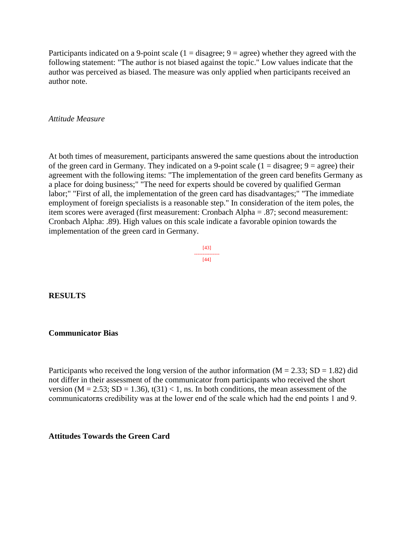Participants indicated on a 9-point scale  $(1 = \text{disagree}; 9 = \text{agree})$  whether they agreed with the following statement: "The author is not biased against the topic." Low values indicate that the author was perceived as biased. The measure was only applied when participants received an author note.

### *Attitude Measure*

At both times of measurement, participants answered the same questions about the introduction of the green card in Germany. They indicated on a 9-point scale  $(1 - \text{disagree}; 9 - \text{agree})$  their agreement with the following items: "The implementation of the green card benefits Germany as a place for doing business;" "The need for experts should be covered by qualified German labor;" "First of all, the implementation of the green card has disadvantages;" "The immediate employment of foreign specialists is a reasonable step." In consideration of the item poles, the item scores were averaged (first measurement: Cronbach Alpha = .87; second measurement: Cronbach Alpha: .89). High values on this scale indicate a favorable opinion towards the implementation of the green card in Germany.

> [43] --------------- [44]

#### **RESULTS**

#### **Communicator Bias**

Participants who received the long version of the author information ( $M = 2.33$ ;  $SD = 1.82$ ) did not differ in their assessment of the communicator from participants who received the short version ( $M = 2.53$ ;  $SD = 1.36$ ),  $t(31) < 1$ , ns. In both conditions, the mean assessment of the communicatorπs credibility was at the lower end of the scale which had the end points 1 and 9.

### **Attitudes Towards the Green Card**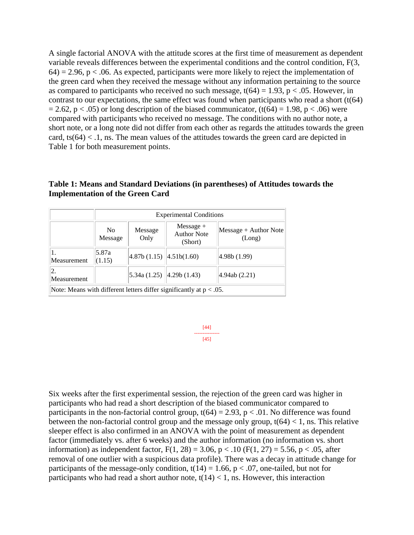A single factorial ANOVA with the attitude scores at the first time of measurement as dependent variable reveals differences between the experimental conditions and the control condition, F(3,  $64$ ) = 2.96, p < .06. As expected, participants were more likely to reject the implementation of the green card when they received the message without any information pertaining to the source as compared to participants who received no such message,  $t(64) = 1.93$ ,  $p < .05$ . However, in contrast to our expectations, the same effect was found when participants who read a short  $(t(64))$  $= 2.62$ , p < .05) or long description of the biased communicator, (t(64) = 1.98, p < .06) were compared with participants who received no message. The conditions with no author note, a short note, or a long note did not differ from each other as regards the attitudes towards the green card,  $ts(64) < 0.1$ , ns. The mean values of the attitudes towards the green card are depicted in Table 1 for both measurement points.

## **Table 1: Means and Standard Deviations (in parentheses) of Attitudes towards the Implementation of the Green Card**

|                                                                        | <b>Experimental Conditions</b> |                              |                                              |                                 |
|------------------------------------------------------------------------|--------------------------------|------------------------------|----------------------------------------------|---------------------------------|
|                                                                        | No.<br>Message                 | Message<br>Only              | $Message +$<br><b>Author Note</b><br>(Short) | Message + Author Note<br>(Long) |
| 1.<br>Measurement                                                      | 5.87a<br>(1.15)                | 4.87b(1.15)  4.51b(1.60)     |                                              | 4.98b(1.99)                     |
| 2.<br>Measurement                                                      |                                | $ 5.34a(1.25) $ 4.29b (1.43) |                                              | 4.94ab(2.21)                    |
| Note: Means with different letters differ significantly at $p < .05$ . |                                |                              |                                              |                                 |

[44] --------------- [45]

Six weeks after the first experimental session, the rejection of the green card was higher in participants who had read a short description of the biased communicator compared to participants in the non-factorial control group,  $t(64) = 2.93$ ,  $p < .01$ . No difference was found between the non-factorial control group and the message only group,  $t(64) < 1$ , ns. This relative sleeper effect is also confirmed in an ANOVA with the point of measurement as dependent factor (immediately vs. after 6 weeks) and the author information (no information vs. short information) as independent factor,  $F(1, 28) = 3.06$ ,  $p < .10$  ( $F(1, 27) = 5.56$ ,  $p < .05$ , after removal of one outlier with a suspicious data profile). There was a decay in attitude change for participants of the message-only condition,  $t(14) = 1.66$ ,  $p < .07$ , one-tailed, but not for participants who had read a short author note,  $t(14) < 1$ , ns. However, this interaction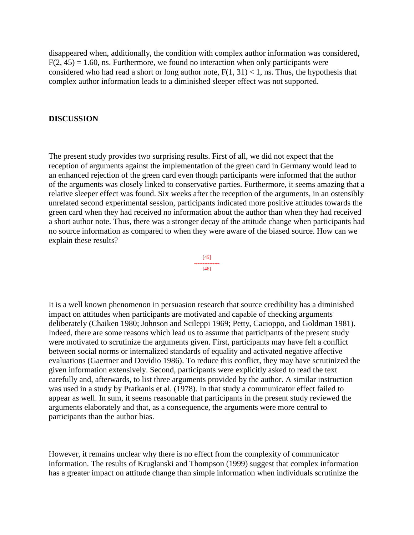disappeared when, additionally, the condition with complex author information was considered,  $F(2, 45) = 1.60$ , ns. Furthermore, we found no interaction when only participants were considered who had read a short or long author note,  $F(1, 31) < 1$ , ns. Thus, the hypothesis that complex author information leads to a diminished sleeper effect was not supported.

#### **DISCUSSION**

The present study provides two surprising results. First of all, we did not expect that the reception of arguments against the implementation of the green card in Germany would lead to an enhanced rejection of the green card even though participants were informed that the author of the arguments was closely linked to conservative parties. Furthermore, it seems amazing that a relative sleeper effect was found. Six weeks after the reception of the arguments, in an ostensibly unrelated second experimental session, participants indicated more positive attitudes towards the green card when they had received no information about the author than when they had received a short author note. Thus, there was a stronger decay of the attitude change when participants had no source information as compared to when they were aware of the biased source. How can we explain these results?

> [45] --------------- [46]

It is a well known phenomenon in persuasion research that source credibility has a diminished impact on attitudes when participants are motivated and capable of checking arguments deliberately (Chaiken 1980; Johnson and Scileppi 1969; Petty, Cacioppo, and Goldman 1981). Indeed, there are some reasons which lead us to assume that participants of the present study were motivated to scrutinize the arguments given. First, participants may have felt a conflict between social norms or internalized standards of equality and activated negative affective evaluations (Gaertner and Dovidio 1986). To reduce this conflict, they may have scrutinized the given information extensively. Second, participants were explicitly asked to read the text carefully and, afterwards, to list three arguments provided by the author. A similar instruction was used in a study by Pratkanis et al. (1978). In that study a communicator effect failed to appear as well. In sum, it seems reasonable that participants in the present study reviewed the arguments elaborately and that, as a consequence, the arguments were more central to participants than the author bias.

However, it remains unclear why there is no effect from the complexity of communicator information. The results of Kruglanski and Thompson (1999) suggest that complex information has a greater impact on attitude change than simple information when individuals scrutinize the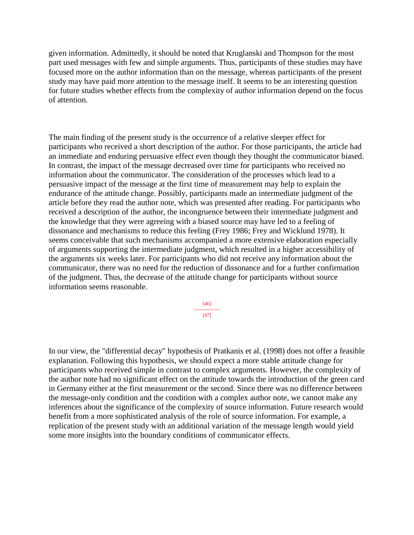given information. Admittedly, it should be noted that Kruglanski and Thompson for the most part used messages with few and simple arguments. Thus, participants of these studies may have focused more on the author information than on the message, whereas participants of the present study may have paid more attention to the message itself. It seems to be an interesting question for future studies whether effects from the complexity of author information depend on the focus of attention.

The main finding of the present study is the occurrence of a relative sleeper effect for participants who received a short description of the author. For those participants, the article had an immediate and enduring persuasive effect even though they thought the communicator biased. In contrast, the impact of the message decreased over time for participants who received no information about the communicator. The consideration of the processes which lead to a persuasive impact of the message at the first time of measurement may help to explain the endurance of the attitude change. Possibly, participants made an intermediate judgment of the article before they read the author note, which was presented after reading. For participants who received a description of the author, the incongruence between their intermediate judgment and the knowledge that they were agreeing with a biased source may have led to a feeling of dissonance and mechanisms to reduce this feeling (Frey 1986; Frey and Wicklund 1978). It seems conceivable that such mechanisms accompanied a more extensive elaboration especially of arguments supporting the intermediate judgment, which resulted in a higher accessibility of the arguments six weeks later. For participants who did not receive any information about the communicator, there was no need for the reduction of dissonance and for a further confirmation of the judgment. Thus, the decrease of the attitude change for participants without source information seems reasonable.

> [46] --------------- [47]

In our view, the "differential decay" hypothesis of Pratkanis et al. (1998) does not offer a feasible explanation. Following this hypothesis, we should expect a more stable attitude change for participants who received simple in contrast to complex arguments. However, the complexity of the author note had no significant effect on the attitude towards the introduction of the green card in Germany either at the first measurement or the second. Since there was no difference between the message-only condition and the condition with a complex author note, we cannot make any inferences about the significance of the complexity of source information. Future research would benefit from a more sophisticated analysis of the role of source information. For example, a replication of the present study with an additional variation of the message length would yield some more insights into the boundary conditions of communicator effects.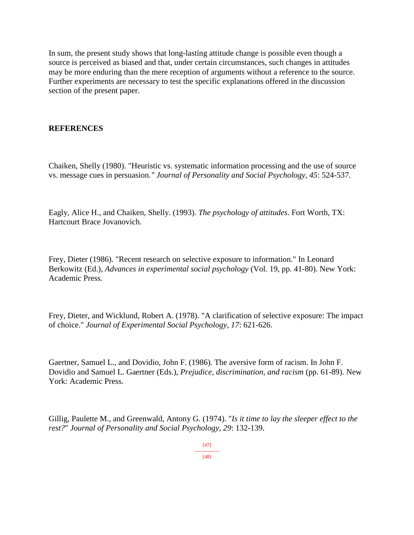In sum, the present study shows that long-lasting attitude change is possible even though a source is perceived as biased and that, under certain circumstances, such changes in attitudes may be more enduring than the mere reception of arguments without a reference to the source. Further experiments are necessary to test the specific explanations offered in the discussion section of the present paper.

# **REFERENCES**

Chaiken, Shelly (1980). "Heuristic vs. systematic information processing and the use of source vs. message cues in persuasion*." Journal of Personality and Social Psychology, 45*: 524-537.

Eagly, Alice H., and Chaiken, Shelly. (1993). *The psychology of attitudes*. Fort Worth, TX: Hartcourt Brace Jovanovich.

Frey, Dieter (1986). "Recent research on selective exposure to information." In Leonard Berkowitz (Ed.), *Advances in experimental social psychology* (Vol. 19, pp. 41-80). New York: Academic Press.

Frey, Dieter, and Wicklund, Robert A. (1978). "A clarification of selective exposure: The impact of choice." *Journal of Experimental Social Psychology, 17*: 621-626.

Gaertner, Samuel L., and Dovidio, John F. (1986). The aversive form of racism. In John F. Dovidio and Samuel L. Gaertner (Eds.), *Prejudice, discrimination, and racism* (pp. 61-89). New York: Academic Press.

Gillig, Paulette M., and Greenwald, Antony G. (1974). "*Is it time to lay the sleeper effect to the rest?*" *Journal of Personality and Social Psychology, 29*: 132-139.

> [47] ---------------

[48]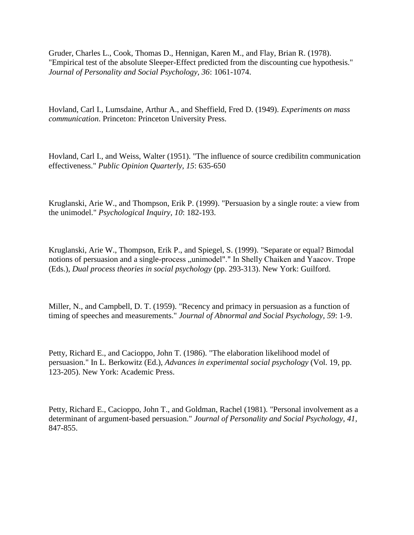Gruder, Charles L., Cook, Thomas D., Hennigan, Karen M., and Flay, Brian R. (1978). "Empirical test of the absolute Sleeper-Effect predicted from the discounting cue hypothesis." *Journal of Personality and Social Psychology, 36*: 1061-1074.

Hovland, Carl I., Lumsdaine, Arthur A., and Sheffield, Fred D. (1949). *Experiments on mass communication*. Princeton: Princeton University Press.

Hovland, Carl I., and Weiss, Walter (1951). "The influence of source credibilitn communication effectiveness." *Public Opinion Quarterly, 15*: 635-650

Kruglanski, Arie W., and Thompson, Erik P. (1999). "Persuasion by a single route: a view from the unimodel." *Psychological Inquiry, 10*: 182-193.

Kruglanski, Arie W., Thompson, Erik P., and Spiegel, S. (1999). "Separate or equal? Bimodal notions of persuasion and a single-process "unimodel"." In Shelly Chaiken and Yaacov. Trope (Eds.), *Dual process theories in social psychology* (pp. 293-313). New York: Guilford.

Miller, N., and Campbell, D. T. (1959). "Recency and primacy in persuasion as a function of timing of speeches and measurements." *Journal of Abnormal and Social Psychology, 59*: 1-9.

Petty, Richard E., and Cacioppo, John T. (1986). "The elaboration likelihood model of persuasion." In L. Berkowitz (Ed.), *Advances in experimental social psychology* (Vol. 19, pp. 123-205). New York: Academic Press.

Petty, Richard E., Cacioppo, John T., and Goldman, Rachel (1981). "Personal involvement as a determinant of argument-based persuasion." *Journal of Personality and Social Psychology, 41*, 847-855.